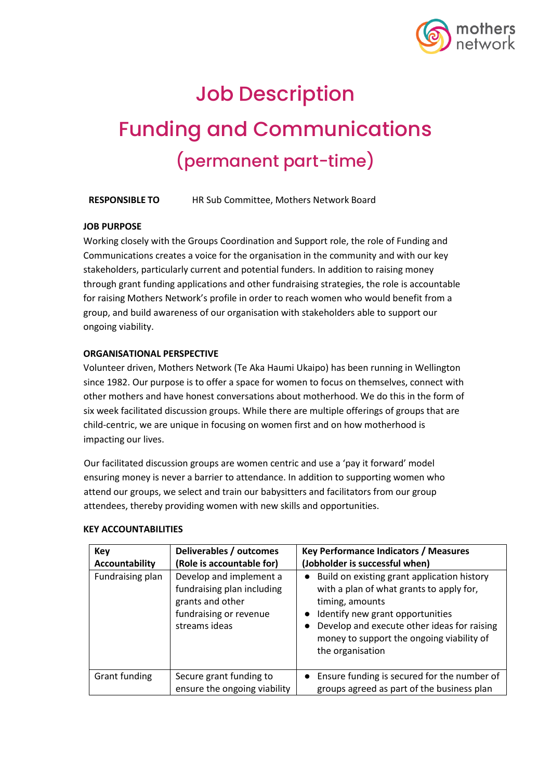

# Job Description Funding and Communications (permanent part-time)

**RESPONSIBLE TO** HR Sub Committee, Mothers Network Board

### **JOB PURPOSE**

Working closely with the Groups Coordination and Support role, the role of Funding and Communications creates a voice for the organisation in the community and with our key stakeholders, particularly current and potential funders. In addition to raising money through grant funding applications and other fundraising strategies, the role is accountable for raising Mothers Network's profile in order to reach women who would benefit from a group, and build awareness of our organisation with stakeholders able to support our ongoing viability.

## **ORGANISATIONAL PERSPECTIVE**

Volunteer driven, Mothers Network (Te Aka Haumi Ukaipo) has been running in Wellington since 1982. Our purpose is to offer a space for women to focus on themselves, connect with other mothers and have honest conversations about motherhood. We do this in the form of six week facilitated discussion groups. While there are multiple offerings of groups that are child-centric, we are unique in focusing on women first and on how motherhood is impacting our lives.

Our facilitated discussion groups are women centric and use a 'pay it forward' model ensuring money is never a barrier to attendance. In addition to supporting women who attend our groups, we select and train our babysitters and facilitators from our group attendees, thereby providing women with new skills and opportunities.

| <b>Key</b><br>Accountability | Deliverables / outcomes<br>(Role is accountable for)                                                                 | <b>Key Performance Indicators / Measures</b><br>(Jobholder is successful when)                                                                                                                                                                                   |
|------------------------------|----------------------------------------------------------------------------------------------------------------------|------------------------------------------------------------------------------------------------------------------------------------------------------------------------------------------------------------------------------------------------------------------|
| Fundraising plan             | Develop and implement a<br>fundraising plan including<br>grants and other<br>fundraising or revenue<br>streams ideas | • Build on existing grant application history<br>with a plan of what grants to apply for,<br>timing, amounts<br>Identify new grant opportunities<br>Develop and execute other ideas for raising<br>money to support the ongoing viability of<br>the organisation |
| Grant funding                | Secure grant funding to<br>ensure the ongoing viability                                                              | • Ensure funding is secured for the number of<br>groups agreed as part of the business plan                                                                                                                                                                      |

#### **KEY ACCOUNTABILITIES**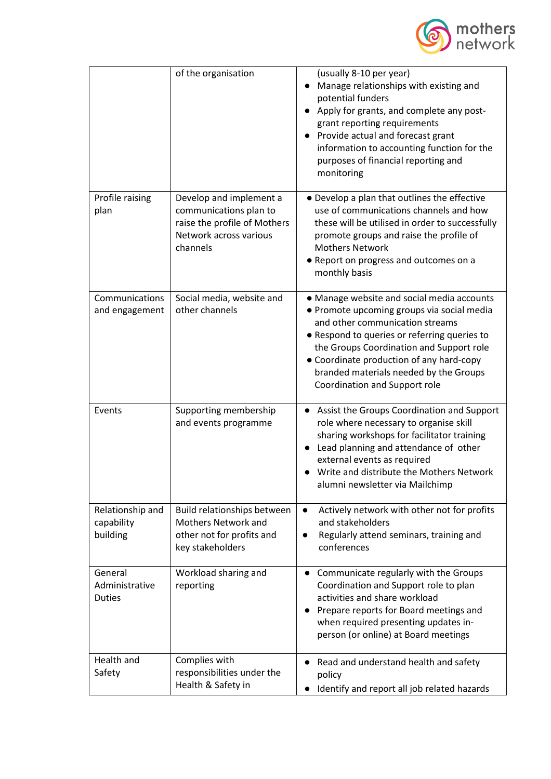

|                                            | of the organisation                                                                                                     | (usually 8-10 per year)<br>Manage relationships with existing and<br>potential funders<br>Apply for grants, and complete any post-<br>grant reporting requirements<br>Provide actual and forecast grant<br>information to accounting function for the<br>purposes of financial reporting and<br>monitoring                                     |
|--------------------------------------------|-------------------------------------------------------------------------------------------------------------------------|------------------------------------------------------------------------------------------------------------------------------------------------------------------------------------------------------------------------------------------------------------------------------------------------------------------------------------------------|
| Profile raising<br>plan                    | Develop and implement a<br>communications plan to<br>raise the profile of Mothers<br>Network across various<br>channels | • Develop a plan that outlines the effective<br>use of communications channels and how<br>these will be utilised in order to successfully<br>promote groups and raise the profile of<br><b>Mothers Network</b><br>• Report on progress and outcomes on a<br>monthly basis                                                                      |
| Communications<br>and engagement           | Social media, website and<br>other channels                                                                             | • Manage website and social media accounts<br>• Promote upcoming groups via social media<br>and other communication streams<br>• Respond to queries or referring queries to<br>the Groups Coordination and Support role<br>• Coordinate production of any hard-copy<br>branded materials needed by the Groups<br>Coordination and Support role |
| Events                                     | Supporting membership<br>and events programme                                                                           | Assist the Groups Coordination and Support<br>role where necessary to organise skill<br>sharing workshops for facilitator training<br>Lead planning and attendance of other<br>external events as required<br>Write and distribute the Mothers Network<br>alumni newsletter via Mailchimp                                                      |
| Relationship and<br>capability<br>building | Build relationships between<br>Mothers Network and<br>other not for profits and<br>key stakeholders                     | Actively network with other not for profits<br>and stakeholders<br>Regularly attend seminars, training and<br>$\bullet$<br>conferences                                                                                                                                                                                                         |
| General<br>Administrative<br><b>Duties</b> | Workload sharing and<br>reporting                                                                                       | Communicate regularly with the Groups<br>$\bullet$<br>Coordination and Support role to plan<br>activities and share workload<br>Prepare reports for Board meetings and<br>when required presenting updates in-<br>person (or online) at Board meetings                                                                                         |
| Health and<br>Safety                       | Complies with<br>responsibilities under the<br>Health & Safety in                                                       | Read and understand health and safety<br>$\bullet$<br>policy<br>Identify and report all job related hazards                                                                                                                                                                                                                                    |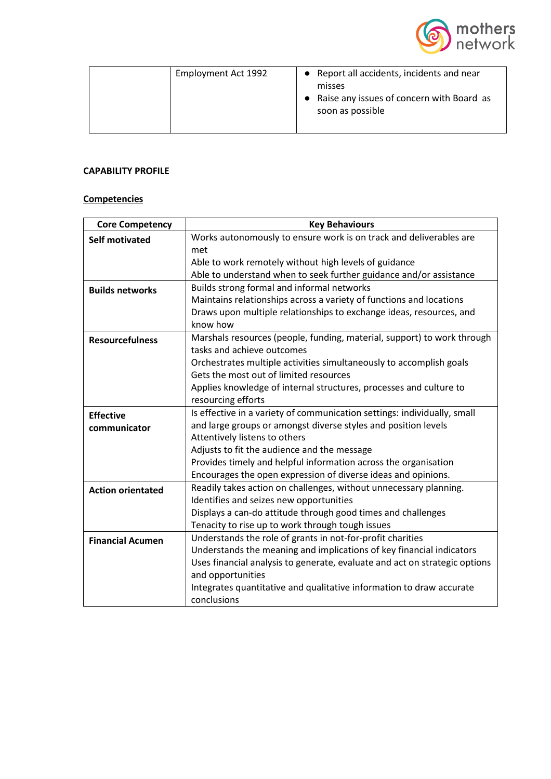

| Employment Act 1992 | • Report all accidents, incidents and near<br>misses<br>• Raise any issues of concern with Board as<br>soon as possible |
|---------------------|-------------------------------------------------------------------------------------------------------------------------|
|---------------------|-------------------------------------------------------------------------------------------------------------------------|

## **CAPABILITY PROFILE**

## **Competencies**

| <b>Core Competency</b>   | <b>Key Behaviours</b>                                                      |  |  |  |
|--------------------------|----------------------------------------------------------------------------|--|--|--|
| <b>Self motivated</b>    | Works autonomously to ensure work is on track and deliverables are         |  |  |  |
|                          | met                                                                        |  |  |  |
|                          | Able to work remotely without high levels of guidance                      |  |  |  |
|                          | Able to understand when to seek further guidance and/or assistance         |  |  |  |
| <b>Builds networks</b>   | Builds strong formal and informal networks                                 |  |  |  |
|                          | Maintains relationships across a variety of functions and locations        |  |  |  |
|                          | Draws upon multiple relationships to exchange ideas, resources, and        |  |  |  |
|                          | know how                                                                   |  |  |  |
| <b>Resourcefulness</b>   | Marshals resources (people, funding, material, support) to work through    |  |  |  |
|                          | tasks and achieve outcomes                                                 |  |  |  |
|                          | Orchestrates multiple activities simultaneously to accomplish goals        |  |  |  |
|                          | Gets the most out of limited resources                                     |  |  |  |
|                          | Applies knowledge of internal structures, processes and culture to         |  |  |  |
|                          | resourcing efforts                                                         |  |  |  |
| <b>Effective</b>         | Is effective in a variety of communication settings: individually, small   |  |  |  |
| communicator             | and large groups or amongst diverse styles and position levels             |  |  |  |
|                          | Attentively listens to others                                              |  |  |  |
|                          | Adjusts to fit the audience and the message                                |  |  |  |
|                          | Provides timely and helpful information across the organisation            |  |  |  |
|                          | Encourages the open expression of diverse ideas and opinions.              |  |  |  |
| <b>Action orientated</b> | Readily takes action on challenges, without unnecessary planning.          |  |  |  |
|                          | Identifies and seizes new opportunities                                    |  |  |  |
|                          | Displays a can-do attitude through good times and challenges               |  |  |  |
|                          | Tenacity to rise up to work through tough issues                           |  |  |  |
| <b>Financial Acumen</b>  | Understands the role of grants in not-for-profit charities                 |  |  |  |
|                          | Understands the meaning and implications of key financial indicators       |  |  |  |
|                          | Uses financial analysis to generate, evaluate and act on strategic options |  |  |  |
|                          | and opportunities                                                          |  |  |  |
|                          | Integrates quantitative and qualitative information to draw accurate       |  |  |  |
|                          | conclusions                                                                |  |  |  |